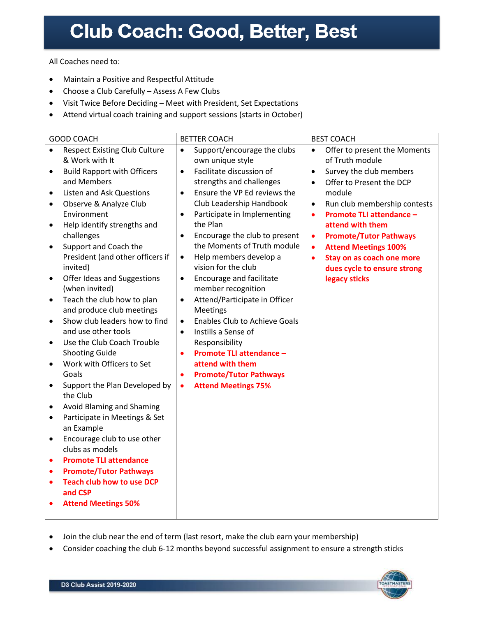All Coaches need to:

- Maintain a Positive and Respectful Attitude
- Choose a Club Carefully Assess A Few Clubs
- Visit Twice Before Deciding Meet with President, Set Expectations
- Attend virtual coach training and support sessions (starts in October)

| <b>GOOD COACH</b>                                          | <b>BETTER COACH</b>                                                | <b>BEST COACH</b>                            |
|------------------------------------------------------------|--------------------------------------------------------------------|----------------------------------------------|
| <b>Respect Existing Club Culture</b><br>$\bullet$          | Support/encourage the clubs<br>$\bullet$                           | Offer to present the Moments<br>$\bullet$    |
| & Work with It                                             | own unique style                                                   | of Truth module                              |
| <b>Build Rapport with Officers</b><br>$\bullet$            | Facilitate discussion of<br>$\bullet$                              | Survey the club members<br>$\bullet$         |
| and Members                                                | strengths and challenges                                           | Offer to Present the DCP<br>$\bullet$        |
| <b>Listen and Ask Questions</b><br>$\bullet$               | Ensure the VP Ed reviews the<br>$\bullet$                          | module                                       |
| Observe & Analyze Club<br>٠                                | Club Leadership Handbook                                           | Run club membership contests<br>$\bullet$    |
| Environment                                                | Participate in Implementing<br>$\bullet$                           | <b>Promote TLI attendance -</b><br>$\bullet$ |
| Help identify strengths and<br>$\bullet$                   | the Plan                                                           | attend with them                             |
| challenges                                                 | Encourage the club to present<br>$\bullet$                         | <b>Promote/Tutor Pathways</b><br>٠           |
| Support and Coach the<br>$\bullet$                         | the Moments of Truth module                                        | <b>Attend Meetings 100%</b><br>$\bullet$     |
| President (and other officers if                           | Help members develop a<br>$\bullet$                                | Stay on as coach one more<br>$\bullet$       |
| invited)                                                   | vision for the club                                                | dues cycle to ensure strong                  |
| Offer Ideas and Suggestions<br>$\bullet$<br>(when invited) | <b>Encourage and facilitate</b><br>$\bullet$<br>member recognition | legacy sticks                                |
| Teach the club how to plan<br>$\bullet$                    | $\bullet$                                                          |                                              |
| and produce club meetings                                  | Attend/Participate in Officer<br><b>Meetings</b>                   |                                              |
| Show club leaders how to find<br>$\bullet$                 | <b>Enables Club to Achieve Goals</b><br>$\bullet$                  |                                              |
| and use other tools                                        | Instills a Sense of<br>$\bullet$                                   |                                              |
| Use the Club Coach Trouble<br>$\bullet$                    | Responsibility                                                     |                                              |
| <b>Shooting Guide</b>                                      | <b>Promote TLI attendance -</b><br>$\bullet$                       |                                              |
| Work with Officers to Set<br>$\bullet$                     | attend with them                                                   |                                              |
| Goals                                                      | <b>Promote/Tutor Pathways</b><br>$\bullet$                         |                                              |
| Support the Plan Developed by<br>$\bullet$                 | <b>Attend Meetings 75%</b><br>$\bullet$                            |                                              |
| the Club                                                   |                                                                    |                                              |
| Avoid Blaming and Shaming<br>$\bullet$                     |                                                                    |                                              |
| Participate in Meetings & Set<br>$\bullet$                 |                                                                    |                                              |
| an Example                                                 |                                                                    |                                              |
| Encourage club to use other<br>$\bullet$                   |                                                                    |                                              |
| clubs as models                                            |                                                                    |                                              |
| <b>Promote TLI attendance</b><br>$\bullet$                 |                                                                    |                                              |
| <b>Promote/Tutor Pathways</b><br>$\bullet$                 |                                                                    |                                              |
| <b>Teach club how to use DCP</b><br>$\bullet$              |                                                                    |                                              |
| and CSP                                                    |                                                                    |                                              |
| <b>Attend Meetings 50%</b>                                 |                                                                    |                                              |
|                                                            |                                                                    |                                              |

- Join the club near the end of term (last resort, make the club earn your membership)
- Consider coaching the club 6-12 months beyond successful assignment to ensure a strength sticks